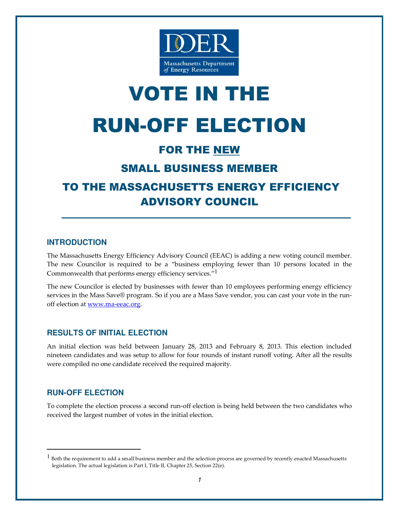

# VOTE IN THE RUN-OFF ELECTION

# FOR THE NEW

# SMALL BUSINESS MEMBER

# TO THE MASSACHUSETTS ENERGY EFFICIENCY ADVISORY COUNCIL

### **INTRODUCTION**

The Massachusetts Energy Efficiency Advisory Council (EEAC) is adding a new voting council member. The new Councilor is required to be a "business employing fewer than 10 persons located in the Commonwealth that performs energy efficiency services."<sup>1</sup>

The new Councilor is elected by businesses with fewer than 10 employees performing energy efficiency services in the Mass Save® program. So if you are a Mass Save vendor, you can cast your vote in the runoff election at www.ma-eeac.org.

## **RESULTS OF INITIAL ELECTION**

An initial election was held between January 28, 2013 and February 8, 2013. This election included nineteen candidates and was setup to allow for four rounds of instant runoff voting. After all the results were compiled no one candidate received the required majority.

## **RUN-OFF ELECTION**

-

To complete the election process a second run-off election is being held between the two candidates who received the largest number of votes in the initial election.

<sup>&</sup>lt;sup>1</sup> Both the requirement to add a small business member and the selection process are governed by recently enacted Massachusetts legislation. The actual legislation is Part I, Title II, Chapter 25, Section 22(e).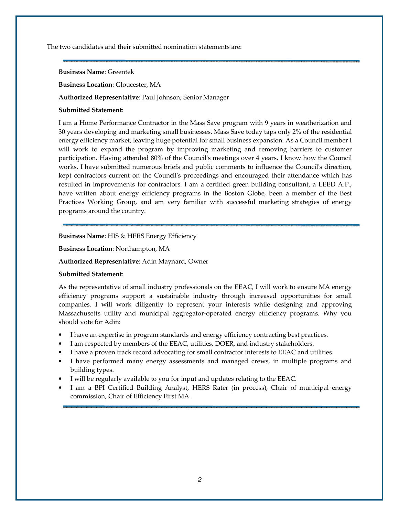The two candidates and their submitted nomination statements are:

#### Business Name: Greentek

Business Location: Gloucester, MA

#### Authorized Representative: Paul Johnson, Senior Manager

#### Submitted Statement:

I am a Home Performance Contractor in the Mass Save program with 9 years in weatherization and 30 years developing and marketing small businesses. Mass Save today taps only 2% of the residential energy efficiency market, leaving huge potential for small business expansion. As a Council member I will work to expand the program by improving marketing and removing barriers to customer participation. Having attended 80% of the Council's meetings over 4 years, I know how the Council works. I have submitted numerous briefs and public comments to influence the Council's direction, kept contractors current on the Council's proceedings and encouraged their attendance which has resulted in improvements for contractors. I am a certified green building consultant, a LEED A.P., have written about energy efficiency programs in the Boston Globe, been a member of the Best Practices Working Group, and am very familiar with successful marketing strategies of energy programs around the country.

#### Business Name: HIS & HERS Energy Efficiency

Business Location: Northampton, MA

#### Authorized Representative: Adin Maynard, Owner

#### Submitted Statement:

As the representative of small industry professionals on the EEAC, I will work to ensure MA energy efficiency programs support a sustainable industry through increased opportunities for small companies. I will work diligently to represent your interests while designing and approving Massachusetts utility and municipal aggregator-operated energy efficiency programs. Why you should vote for Adin:

- I have an expertise in program standards and energy efficiency contracting best practices.
- I am respected by members of the EEAC, utilities, DOER, and industry stakeholders.
- I have a proven track record advocating for small contractor interests to EEAC and utilities.
- I have performed many energy assessments and managed crews, in multiple programs and building types.
- I will be regularly available to you for input and updates relating to the EEAC.
- I am a BPI Certified Building Analyst, HERS Rater (in process), Chair of municipal energy commission, Chair of Efficiency First MA.